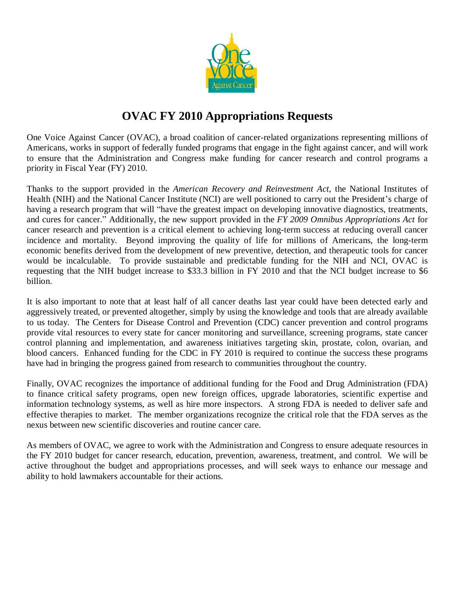

## **OVAC FY 2010 Appropriations Requests**

One Voice Against Cancer (OVAC), a broad coalition of cancer-related organizations representing millions of Americans, works in support of federally funded programs that engage in the fight against cancer, and will work to ensure that the Administration and Congress make funding for cancer research and control programs a priority in Fiscal Year (FY) 2010.

Thanks to the support provided in the *American Recovery and Reinvestment Act*, the National Institutes of Health (NIH) and the National Cancer Institute (NCI) are well positioned to carry out the President's charge of having a research program that will "have the greatest impact on developing innovative diagnostics, treatments, and cures for cancer."Additionally, the new support provided in the *FY 2009 Omnibus Appropriations Act* for cancer research and prevention is a critical element to achieving long-term success at reducing overall cancer incidence and mortality. Beyond improving the quality of life for millions of Americans, the long-term economic benefits derived from the development of new preventive, detection, and therapeutic tools for cancer would be incalculable. To provide sustainable and predictable funding for the NIH and NCI, OVAC is requesting that the NIH budget increase to \$33.3 billion in FY 2010 and that the NCI budget increase to \$6 billion.

It is also important to note that at least half of all cancer deaths last year could have been detected early and aggressively treated, or prevented altogether, simply by using the knowledge and tools that are already available to us today. The Centers for Disease Control and Prevention (CDC) cancer prevention and control programs provide vital resources to every state for cancer monitoring and surveillance, screening programs, state cancer control planning and implementation, and awareness initiatives targeting skin, prostate, colon, ovarian, and blood cancers. Enhanced funding for the CDC in FY 2010 is required to continue the success these programs have had in bringing the progress gained from research to communities throughout the country.

Finally, OVAC recognizes the importance of additional funding for the Food and Drug Administration (FDA) to finance critical safety programs, open new foreign offices, upgrade laboratories, scientific expertise and information technology systems, as well as hire more inspectors. A strong FDA is needed to deliver safe and effective therapies to market. The member organizations recognize the critical role that the FDA serves as the nexus between new scientific discoveries and routine cancer care.

As members of OVAC, we agree to work with the Administration and Congress to ensure adequate resources in the FY 2010 budget for cancer research, education, prevention, awareness, treatment, and control. We will be active throughout the budget and appropriations processes, and will seek ways to enhance our message and ability to hold lawmakers accountable for their actions.